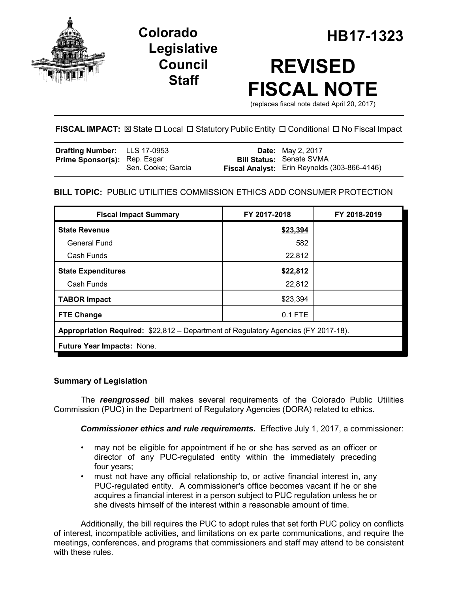

## **Legislative Council Staff**

**Colorado HB17-1323**

# **REVISED FISCAL NOTE**

(replaces fiscal note dated April 20, 2017)

**FISCAL IMPACT:**  $\boxtimes$  State  $\Box$  Local  $\Box$  Statutory Public Entity  $\Box$  Conditional  $\Box$  No Fiscal Impact

| <b>Drafting Number:</b> LLS 17-0953 |                    | <b>Date:</b> May 2, 2017                     |
|-------------------------------------|--------------------|----------------------------------------------|
| <b>Prime Sponsor(s): Rep. Esgar</b> |                    | <b>Bill Status: Senate SVMA</b>              |
|                                     | Sen. Cooke; Garcia | Fiscal Analyst: Erin Reynolds (303-866-4146) |

## **BILL TOPIC:** PUBLIC UTILITIES COMMISSION ETHICS ADD CONSUMER PROTECTION

| <b>Fiscal Impact Summary</b>                                                       | FY 2017-2018 | FY 2018-2019 |  |  |  |
|------------------------------------------------------------------------------------|--------------|--------------|--|--|--|
| <b>State Revenue</b>                                                               | \$23,394     |              |  |  |  |
| General Fund                                                                       | 582          |              |  |  |  |
| Cash Funds                                                                         | 22,812       |              |  |  |  |
| <b>State Expenditures</b>                                                          | \$22,812     |              |  |  |  |
| Cash Funds                                                                         | 22,812       |              |  |  |  |
| <b>TABOR Impact</b>                                                                | \$23,394     |              |  |  |  |
| <b>FTE Change</b>                                                                  | $0.1$ FTE    |              |  |  |  |
| Appropriation Required: \$22,812 – Department of Regulatory Agencies (FY 2017-18). |              |              |  |  |  |
| Future Year Impacts: None.                                                         |              |              |  |  |  |

### **Summary of Legislation**

The *reengrossed* bill makes several requirements of the Colorado Public Utilities Commission (PUC) in the Department of Regulatory Agencies (DORA) related to ethics.

*Commissioner ethics and rule requirements.* Effective July 1, 2017, a commissioner:

- may not be eligible for appointment if he or she has served as an officer or director of any PUC-regulated entity within the immediately preceding four years;
- must not have any official relationship to, or active financial interest in, any PUC-regulated entity. A commissioner's office becomes vacant if he or she acquires a financial interest in a person subject to PUC regulation unless he or she divests himself of the interest within a reasonable amount of time.

Additionally, the bill requires the PUC to adopt rules that set forth PUC policy on conflicts of interest, incompatible activities, and limitations on ex parte communications, and require the meetings, conferences, and programs that commissioners and staff may attend to be consistent with these rules.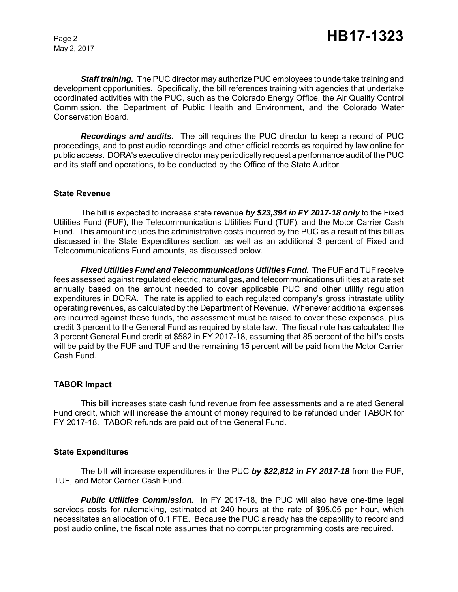May 2, 2017

*Staff training.* The PUC director may authorize PUC employees to undertake training and development opportunities. Specifically, the bill references training with agencies that undertake coordinated activities with the PUC, such as the Colorado Energy Office, the Air Quality Control Commission, the Department of Public Health and Environment, and the Colorado Water Conservation Board.

*Recordings and audits.* The bill requires the PUC director to keep a record of PUC proceedings, and to post audio recordings and other official records as required by law online for public access. DORA's executive director may periodically request a performance audit of the PUC and its staff and operations, to be conducted by the Office of the State Auditor.

#### **State Revenue**

The bill is expected to increase state revenue *by \$23,394 in FY 2017-18 only* to the Fixed Utilities Fund (FUF), the Telecommunications Utilities Fund (TUF), and the Motor Carrier Cash Fund. This amount includes the administrative costs incurred by the PUC as a result of this bill as discussed in the State Expenditures section, as well as an additional 3 percent of Fixed and Telecommunications Fund amounts, as discussed below.

*Fixed Utilities Fund and Telecommunications Utilities Fund.* The FUF and TUF receive fees assessed against regulated electric, natural gas, and telecommunications utilities at a rate set annually based on the amount needed to cover applicable PUC and other utility regulation expenditures in DORA. The rate is applied to each regulated company's gross intrastate utility operating revenues, as calculated by the Department of Revenue. Whenever additional expenses are incurred against these funds, the assessment must be raised to cover these expenses, plus credit 3 percent to the General Fund as required by state law. The fiscal note has calculated the 3 percent General Fund credit at \$582 in FY 2017-18, assuming that 85 percent of the bill's costs will be paid by the FUF and TUF and the remaining 15 percent will be paid from the Motor Carrier Cash Fund.

#### **TABOR Impact**

This bill increases state cash fund revenue from fee assessments and a related General Fund credit, which will increase the amount of money required to be refunded under TABOR for FY 2017-18. TABOR refunds are paid out of the General Fund.

#### **State Expenditures**

The bill will increase expenditures in the PUC *by \$22,812 in FY 2017-18* from the FUF, TUF, and Motor Carrier Cash Fund.

*Public Utilities Commission.* In FY 2017-18, the PUC will also have one-time legal services costs for rulemaking, estimated at 240 hours at the rate of \$95.05 per hour, which necessitates an allocation of 0.1 FTE. Because the PUC already has the capability to record and post audio online, the fiscal note assumes that no computer programming costs are required.